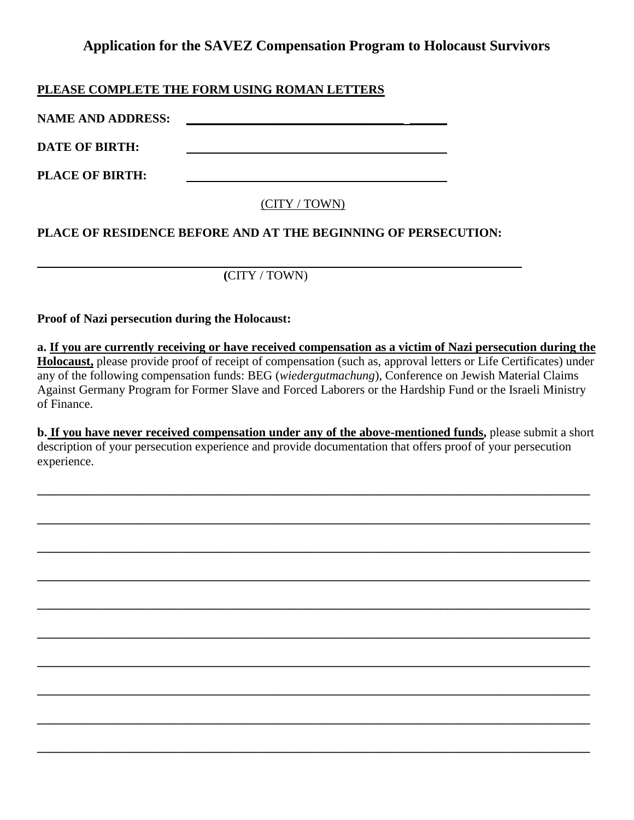# **Application for the SAVEZ Compensation Program to Holocaust Survivors**

## **PLEASE COMPLETE THE FORM USING ROMAN LETTERS**

**NAME AND ADDRESS: \_\_\_\_\_\_\_\_\_\_\_\_\_\_\_\_\_\_\_\_\_\_\_\_\_\_\_\_\_\_\_\_\_\_\_ \_\_\_\_\_\_**

**DATE OF BIRTH:**

**PLACE OF BIRTH:**

## (CITY / TOWN)

## **PLACE OF RESIDENCE BEFORE AND AT THE BEGINNING OF PERSECUTION:**

# **(**CITY / TOWN)

### **Proof of Nazi persecution during the Holocaust:**

**a. If you are currently receiving or have received compensation as a victim of Nazi persecution during the Holocaust,** please provide proof of receipt of compensation (such as, approval letters or Life Certificates) under any of the following compensation funds: BEG (*wiedergutmachung*), Conference on Jewish Material Claims Against Germany Program for Former Slave and Forced Laborers or the Hardship Fund or the Israeli Ministry of Finance.

**b. If you have never received compensation under any of the above-mentioned funds,** please submit a short description of your persecution experience and provide documentation that offers proof of your persecution experience.

**\_\_\_\_\_\_\_\_\_\_\_\_\_\_\_\_\_\_\_\_\_\_\_\_\_\_\_\_\_\_\_\_\_\_\_\_\_\_\_\_\_\_\_\_\_\_\_\_\_\_\_\_\_\_\_\_\_\_\_\_\_\_\_\_\_\_\_\_\_\_\_\_\_\_\_\_\_\_\_\_\_\_\_\_\_\_\_\_\_**

**\_\_\_\_\_\_\_\_\_\_\_\_\_\_\_\_\_\_\_\_\_\_\_\_\_\_\_\_\_\_\_\_\_\_\_\_\_\_\_\_\_\_\_\_\_\_\_\_\_\_\_\_\_\_\_\_\_\_\_\_\_\_\_\_\_\_\_\_\_\_\_\_\_\_\_\_\_\_\_\_\_\_\_\_\_\_\_\_\_**

**\_\_\_\_\_\_\_\_\_\_\_\_\_\_\_\_\_\_\_\_\_\_\_\_\_\_\_\_\_\_\_\_\_\_\_\_\_\_\_\_\_\_\_\_\_\_\_\_\_\_\_\_\_\_\_\_\_\_\_\_\_\_\_\_\_\_\_\_\_\_\_\_\_\_\_\_\_\_\_\_\_\_\_\_\_\_\_\_\_**

**\_\_\_\_\_\_\_\_\_\_\_\_\_\_\_\_\_\_\_\_\_\_\_\_\_\_\_\_\_\_\_\_\_\_\_\_\_\_\_\_\_\_\_\_\_\_\_\_\_\_\_\_\_\_\_\_\_\_\_\_\_\_\_\_\_\_\_\_\_\_\_\_\_\_\_\_\_\_\_\_\_\_\_\_\_\_\_\_\_**

**\_\_\_\_\_\_\_\_\_\_\_\_\_\_\_\_\_\_\_\_\_\_\_\_\_\_\_\_\_\_\_\_\_\_\_\_\_\_\_\_\_\_\_\_\_\_\_\_\_\_\_\_\_\_\_\_\_\_\_\_\_\_\_\_\_\_\_\_\_\_\_\_\_\_\_\_\_\_\_\_\_\_\_\_\_\_\_\_\_**

**\_\_\_\_\_\_\_\_\_\_\_\_\_\_\_\_\_\_\_\_\_\_\_\_\_\_\_\_\_\_\_\_\_\_\_\_\_\_\_\_\_\_\_\_\_\_\_\_\_\_\_\_\_\_\_\_\_\_\_\_\_\_\_\_\_\_\_\_\_\_\_\_\_\_\_\_\_\_\_\_\_\_\_\_\_\_\_\_\_**

**\_\_\_\_\_\_\_\_\_\_\_\_\_\_\_\_\_\_\_\_\_\_\_\_\_\_\_\_\_\_\_\_\_\_\_\_\_\_\_\_\_\_\_\_\_\_\_\_\_\_\_\_\_\_\_\_\_\_\_\_\_\_\_\_\_\_\_\_\_\_\_\_\_\_\_\_\_\_\_\_\_\_\_\_\_\_\_\_\_**

**\_\_\_\_\_\_\_\_\_\_\_\_\_\_\_\_\_\_\_\_\_\_\_\_\_\_\_\_\_\_\_\_\_\_\_\_\_\_\_\_\_\_\_\_\_\_\_\_\_\_\_\_\_\_\_\_\_\_\_\_\_\_\_\_\_\_\_\_\_\_\_\_\_\_\_\_\_\_\_\_\_\_\_\_\_\_\_\_\_**

**\_\_\_\_\_\_\_\_\_\_\_\_\_\_\_\_\_\_\_\_\_\_\_\_\_\_\_\_\_\_\_\_\_\_\_\_\_\_\_\_\_\_\_\_\_\_\_\_\_\_\_\_\_\_\_\_\_\_\_\_\_\_\_\_\_\_\_\_\_\_\_\_\_\_\_\_\_\_\_\_\_\_\_\_\_\_\_\_\_**

**\_\_\_\_\_\_\_\_\_\_\_\_\_\_\_\_\_\_\_\_\_\_\_\_\_\_\_\_\_\_\_\_\_\_\_\_\_\_\_\_\_\_\_\_\_\_\_\_\_\_\_\_\_\_\_\_\_\_\_\_\_\_\_\_\_\_\_\_\_\_\_\_\_\_\_\_\_\_\_\_\_\_\_\_\_\_\_\_\_**